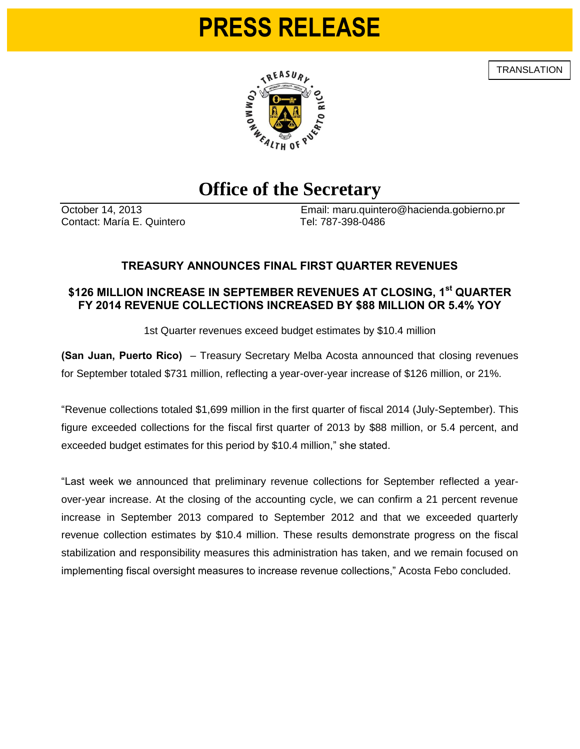# **PRESS RELEASE**

**TRANSLATION** 



## **Office of the Secretary**

Contact: María E. Quintero Tel: 787-398-0486

October 14, 2013 Email: maru.quintero@hacienda.gobierno.pr

### **TREASURY ANNOUNCES FINAL FIRST QUARTER REVENUES**

### **\$126 MILLION INCREASE IN SEPTEMBER REVENUES AT CLOSING, 1st QUARTER FY 2014 REVENUE COLLECTIONS INCREASED BY \$88 MILLION OR 5.4% YOY**

1st Quarter revenues exceed budget estimates by \$10.4 million

**(San Juan, Puerto Rico)** – Treasury Secretary Melba Acosta announced that closing revenues for September totaled \$731 million, reflecting a year-over-year increase of \$126 million, or 21%.

"Revenue collections totaled \$1,699 million in the first quarter of fiscal 2014 (July-September). This figure exceeded collections for the fiscal first quarter of 2013 by \$88 million, or 5.4 percent, and exceeded budget estimates for this period by \$10.4 million," she stated.

"Last week we announced that preliminary revenue collections for September reflected a yearover-year increase. At the closing of the accounting cycle, we can confirm a 21 percent revenue increase in September 2013 compared to September 2012 and that we exceeded quarterly revenue collection estimates by \$10.4 million. These results demonstrate progress on the fiscal stabilization and responsibility measures this administration has taken, and we remain focused on implementing fiscal oversight measures to increase revenue collections," Acosta Febo concluded.